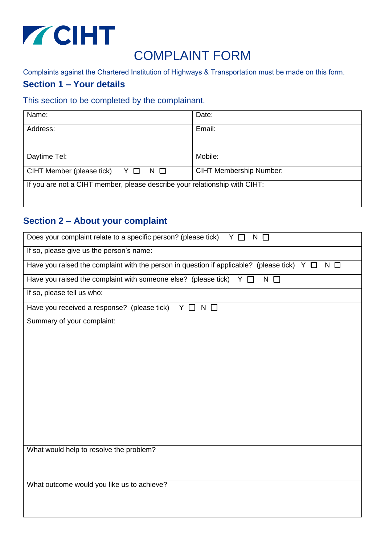

# COMPLAINT FORM

Complaints against the Chartered Institution of Highways & Transportation must be made on this form.

### **Section 1 – Your details**

#### This section to be completed by the complainant.

| Name:                                                                      | Date:                          |
|----------------------------------------------------------------------------|--------------------------------|
| Address:                                                                   | Email:                         |
|                                                                            |                                |
| Daytime Tel:                                                               | Mobile:                        |
| CIHT Member (please tick) $Y \Box N \Box$                                  | <b>CIHT Membership Number:</b> |
| If you are not a CIHT member, please describe your relationship with CIHT: |                                |

## **Section 2 – About your complaint**